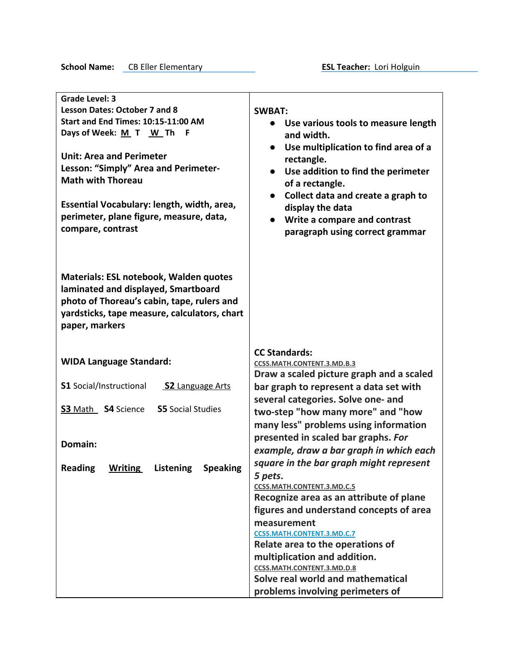**School Name:** CB Eller Elementary **ESL Teacher:** Lori Holguin

| <b>Grade Level: 3</b>                                     |                                                                       |
|-----------------------------------------------------------|-----------------------------------------------------------------------|
| <b>Lesson Dates: October 7 and 8</b>                      | <b>SWBAT:</b>                                                         |
| Start and End Times: 10:15-11:00 AM                       | Use various tools to measure length                                   |
| Days of Week: M T W Th<br>- F                             | and width.                                                            |
|                                                           | • Use multiplication to find area of a                                |
| <b>Unit: Area and Perimeter</b>                           | rectangle.                                                            |
| Lesson: "Simply" Area and Perimeter-                      | Use addition to find the perimeter<br>$\bullet$                       |
| <b>Math with Thoreau</b>                                  | of a rectangle.                                                       |
|                                                           | Collect data and create a graph to<br>$\bullet$                       |
| Essential Vocabulary: length, width, area,                | display the data                                                      |
| perimeter, plane figure, measure, data,                   | Write a compare and contrast                                          |
| compare, contrast                                         | paragraph using correct grammar                                       |
|                                                           |                                                                       |
|                                                           |                                                                       |
|                                                           |                                                                       |
| <b>Materials: ESL notebook, Walden quotes</b>             |                                                                       |
| laminated and displayed, Smartboard                       |                                                                       |
| photo of Thoreau's cabin, tape, rulers and                |                                                                       |
| yardsticks, tape measure, calculators, chart              |                                                                       |
| paper, markers                                            |                                                                       |
|                                                           |                                                                       |
|                                                           |                                                                       |
|                                                           |                                                                       |
| <b>WIDA Language Standard:</b>                            | <b>CC Standards:</b>                                                  |
|                                                           | CCSS.MATH.CONTENT.3.MD.B.3                                            |
| <b>S1</b> Social/Instructional<br><b>S2 Language Arts</b> | Draw a scaled picture graph and a scaled                              |
|                                                           | bar graph to represent a data set with                                |
| S3 Math S4 Science<br><b>S5</b> Social Studies            | several categories. Solve one- and                                    |
|                                                           | two-step "how many more" and "how                                     |
|                                                           | many less" problems using information                                 |
| Domain:                                                   | presented in scaled bar graphs. For                                   |
|                                                           | example, draw a bar graph in which each                               |
| <b>Reading</b><br><b>Speaking</b><br>Writing<br>Listening | square in the bar graph might represent                               |
|                                                           | 5 pets.                                                               |
|                                                           | CCSS.MATH.CONTENT.3.MD.C.5                                            |
|                                                           | Recognize area as an attribute of plane                               |
|                                                           | figures and understand concepts of area                               |
|                                                           | measurement                                                           |
|                                                           | <b>CCSS.MATH.CONTENT.3.MD.C.7</b>                                     |
|                                                           | Relate area to the operations of                                      |
|                                                           | multiplication and addition.                                          |
|                                                           | CCSS.MATH.CONTENT.3.MD.D.8                                            |
|                                                           | Solve real world and mathematical<br>problems involving perimeters of |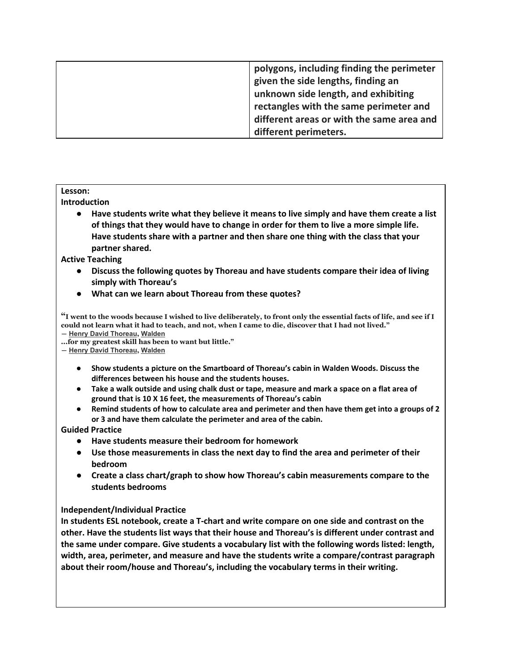| polygons, including finding the perimeter<br>given the side lengths, finding an<br>unknown side length, and exhibiting<br>rectangles with the same perimeter and<br>different areas or with the same area and |
|---------------------------------------------------------------------------------------------------------------------------------------------------------------------------------------------------------------|
| different perimeters.                                                                                                                                                                                         |

## **Lesson:**

### **Introduction**

**● Have students write what they believe it means to live simply and have them create a list of things that they would have to change in order for them to live a more simple life. Have students share with a partner and then share one thing with the class that your partner shared.**

## **Active Teaching**

- **● Discuss the following quotes by Thoreau and have students compare their idea of living simply with Thoreau's**
- **● What can we learn about Thoreau from these quotes?**

"I went to the woods because I wished to live deliberately, to front only the essential facts of life, and see if I could not learn what it had to teach, and not, when I came to die, discover that I had not lived." **― Henry David [Thoreau](https://www.goodreads.com/author/show/10264.Henry_David_Thoreau), [Walden](https://www.goodreads.com/work/quotes/2361393)**

**...for my greatest skill has been to want but little."**

**― Henry David [Thoreau](https://www.goodreads.com/author/show/10264.Henry_David_Thoreau), [Walden](https://www.goodreads.com/work/quotes/2361393)**

- **● Show students a picture on the Smartboard of Thoreau's cabin in Walden Woods. Discuss the differences between his house and the students houses.**
- Take a walk outside and using chalk dust or tape, measure and mark a space on a flat area of **ground that is 10 X 16 feet, the measurements of Thoreau's cabin**
- Remind students of how to calculate area and perimeter and then have them get into a groups of 2 **or 3 and have them calculate the perimeter and area of the cabin.**

### **Guided Practice**

- **● Have students measure their bedroom for homework**
- **● Use those measurements in class the next day to find the area and perimeter of their bedroom**
- **● Create a class chart/graph to show how Thoreau's cabin measurements compare to the students bedrooms**

# **Independent/Individual Practice**

**In students ESL notebook, create a T-chart and write compare on one side and contrast on the other. Have the students list ways that their house and Thoreau's is different under contrast and the same under compare. Give students a vocabulary list with the following words listed: length, width, area, perimeter, and measure and have the students write a compare/contrast paragraph about their room/house and Thoreau's, including the vocabulary terms in their writing.**